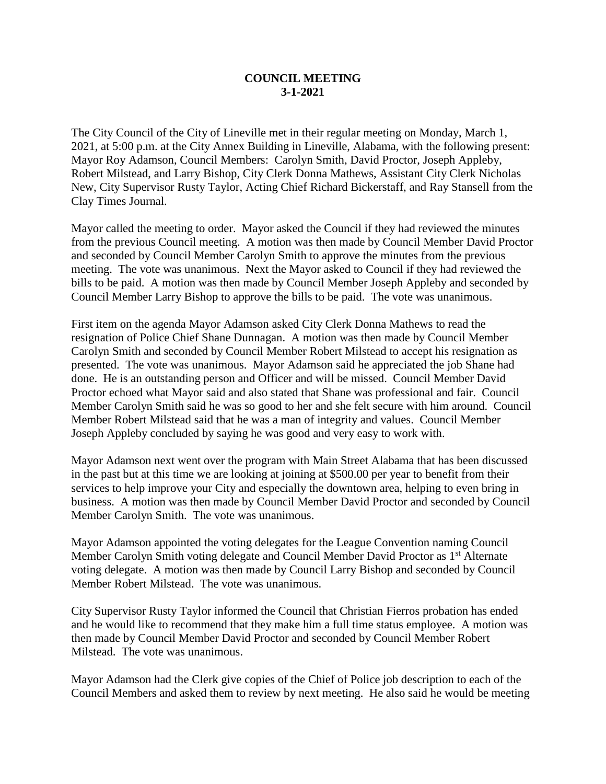## **COUNCIL MEETING 3-1-2021**

The City Council of the City of Lineville met in their regular meeting on Monday, March 1, 2021, at 5:00 p.m. at the City Annex Building in Lineville, Alabama, with the following present: Mayor Roy Adamson, Council Members: Carolyn Smith, David Proctor, Joseph Appleby, Robert Milstead, and Larry Bishop, City Clerk Donna Mathews, Assistant City Clerk Nicholas New, City Supervisor Rusty Taylor, Acting Chief Richard Bickerstaff, and Ray Stansell from the Clay Times Journal.

Mayor called the meeting to order. Mayor asked the Council if they had reviewed the minutes from the previous Council meeting. A motion was then made by Council Member David Proctor and seconded by Council Member Carolyn Smith to approve the minutes from the previous meeting. The vote was unanimous. Next the Mayor asked to Council if they had reviewed the bills to be paid. A motion was then made by Council Member Joseph Appleby and seconded by Council Member Larry Bishop to approve the bills to be paid. The vote was unanimous.

First item on the agenda Mayor Adamson asked City Clerk Donna Mathews to read the resignation of Police Chief Shane Dunnagan. A motion was then made by Council Member Carolyn Smith and seconded by Council Member Robert Milstead to accept his resignation as presented. The vote was unanimous. Mayor Adamson said he appreciated the job Shane had done. He is an outstanding person and Officer and will be missed. Council Member David Proctor echoed what Mayor said and also stated that Shane was professional and fair. Council Member Carolyn Smith said he was so good to her and she felt secure with him around. Council Member Robert Milstead said that he was a man of integrity and values. Council Member Joseph Appleby concluded by saying he was good and very easy to work with.

Mayor Adamson next went over the program with Main Street Alabama that has been discussed in the past but at this time we are looking at joining at \$500.00 per year to benefit from their services to help improve your City and especially the downtown area, helping to even bring in business. A motion was then made by Council Member David Proctor and seconded by Council Member Carolyn Smith. The vote was unanimous.

Mayor Adamson appointed the voting delegates for the League Convention naming Council Member Carolyn Smith voting delegate and Council Member David Proctor as 1<sup>st</sup> Alternate voting delegate. A motion was then made by Council Larry Bishop and seconded by Council Member Robert Milstead. The vote was unanimous.

City Supervisor Rusty Taylor informed the Council that Christian Fierros probation has ended and he would like to recommend that they make him a full time status employee. A motion was then made by Council Member David Proctor and seconded by Council Member Robert Milstead. The vote was unanimous.

Mayor Adamson had the Clerk give copies of the Chief of Police job description to each of the Council Members and asked them to review by next meeting. He also said he would be meeting